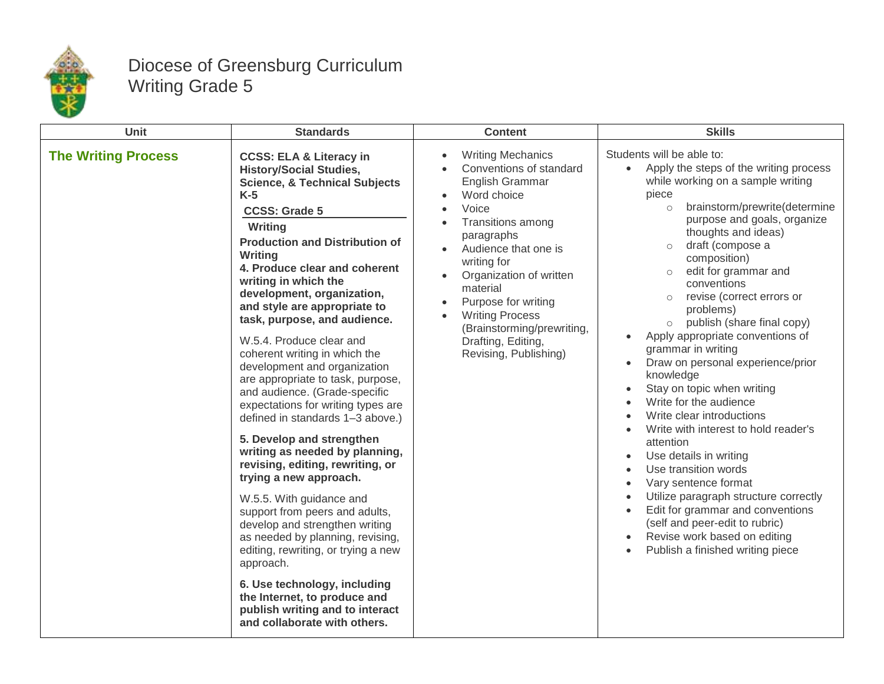

## Diocese of Greensburg Curriculum Writing Grade 5

| Unit                       | <b>Standards</b>                                                                                                                                                                                                                                                                                                                                                                                                                                                                                                                                                                                                                                                                                                                                                                                                                                                                                                                                                                                                                                                             | <b>Content</b>                                                                                                                                                                                                                                                                                                                                             | <b>Skills</b>                                                                                                                                                                                                                                                                                                                                                                                                                                                                                                                                                                                                                                                                                                                                                                                                                                                                                                                                      |
|----------------------------|------------------------------------------------------------------------------------------------------------------------------------------------------------------------------------------------------------------------------------------------------------------------------------------------------------------------------------------------------------------------------------------------------------------------------------------------------------------------------------------------------------------------------------------------------------------------------------------------------------------------------------------------------------------------------------------------------------------------------------------------------------------------------------------------------------------------------------------------------------------------------------------------------------------------------------------------------------------------------------------------------------------------------------------------------------------------------|------------------------------------------------------------------------------------------------------------------------------------------------------------------------------------------------------------------------------------------------------------------------------------------------------------------------------------------------------------|----------------------------------------------------------------------------------------------------------------------------------------------------------------------------------------------------------------------------------------------------------------------------------------------------------------------------------------------------------------------------------------------------------------------------------------------------------------------------------------------------------------------------------------------------------------------------------------------------------------------------------------------------------------------------------------------------------------------------------------------------------------------------------------------------------------------------------------------------------------------------------------------------------------------------------------------------|
| <b>The Writing Process</b> | <b>CCSS: ELA &amp; Literacy in</b><br><b>History/Social Studies,</b><br><b>Science, &amp; Technical Subjects</b><br>$K-5$<br><b>CCSS: Grade 5</b><br>Writing<br><b>Production and Distribution of</b><br>Writing<br>4. Produce clear and coherent<br>writing in which the<br>development, organization,<br>and style are appropriate to<br>task, purpose, and audience.<br>W.5.4. Produce clear and<br>coherent writing in which the<br>development and organization<br>are appropriate to task, purpose,<br>and audience. (Grade-specific<br>expectations for writing types are<br>defined in standards 1-3 above.)<br>5. Develop and strengthen<br>writing as needed by planning,<br>revising, editing, rewriting, or<br>trying a new approach.<br>W.5.5. With guidance and<br>support from peers and adults,<br>develop and strengthen writing<br>as needed by planning, revising,<br>editing, rewriting, or trying a new<br>approach.<br>6. Use technology, including<br>the Internet, to produce and<br>publish writing and to interact<br>and collaborate with others. | <b>Writing Mechanics</b><br>Conventions of standard<br>English Grammar<br>Word choice<br>Voice<br>Transitions among<br>paragraphs<br>Audience that one is<br>$\bullet$<br>writing for<br>Organization of written<br>material<br>Purpose for writing<br><b>Writing Process</b><br>(Brainstorming/prewriting,<br>Drafting, Editing,<br>Revising, Publishing) | Students will be able to:<br>Apply the steps of the writing process<br>while working on a sample writing<br>piece<br>brainstorm/prewrite(determine<br>$\circ$<br>purpose and goals, organize<br>thoughts and ideas)<br>draft (compose a<br>$\circ$<br>composition)<br>edit for grammar and<br>$\circ$<br>conventions<br>revise (correct errors or<br>$\circ$<br>problems)<br>publish (share final copy)<br>$\circ$<br>Apply appropriate conventions of<br>grammar in writing<br>Draw on personal experience/prior<br>knowledge<br>Stay on topic when writing<br>Write for the audience<br>Write clear introductions<br>Write with interest to hold reader's<br>attention<br>Use details in writing<br>$\bullet$<br>Use transition words<br>Vary sentence format<br>Utilize paragraph structure correctly<br>Edit for grammar and conventions<br>(self and peer-edit to rubric)<br>Revise work based on editing<br>Publish a finished writing piece |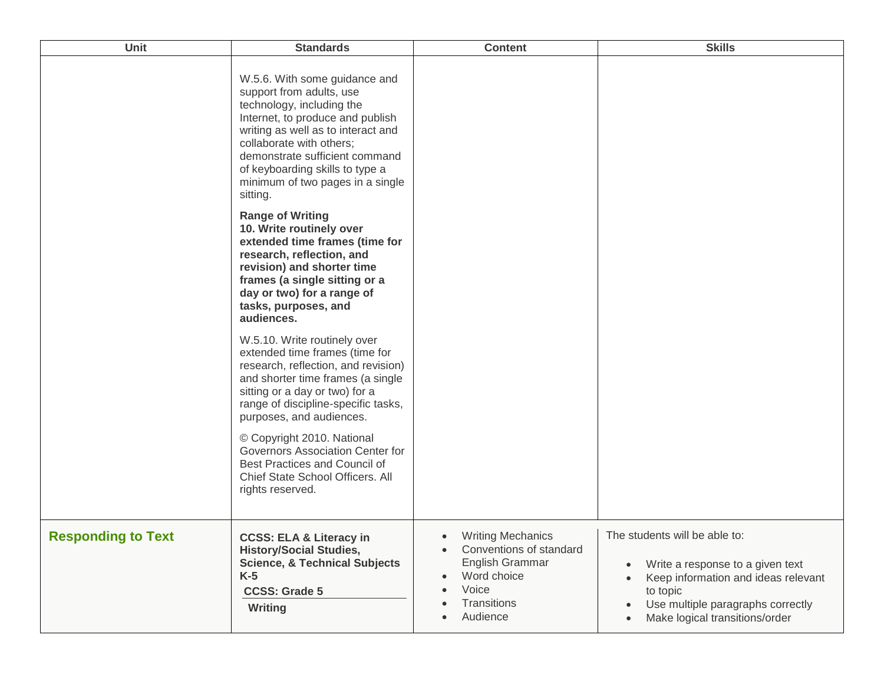| Unit                      | <b>Standards</b>                                                                                                                                                                                                                                                                                                  | <b>Content</b>                                                                                                            | <b>Skills</b>                                                                                                                                                                               |
|---------------------------|-------------------------------------------------------------------------------------------------------------------------------------------------------------------------------------------------------------------------------------------------------------------------------------------------------------------|---------------------------------------------------------------------------------------------------------------------------|---------------------------------------------------------------------------------------------------------------------------------------------------------------------------------------------|
|                           | W.5.6. With some guidance and<br>support from adults, use<br>technology, including the<br>Internet, to produce and publish<br>writing as well as to interact and<br>collaborate with others;<br>demonstrate sufficient command<br>of keyboarding skills to type a<br>minimum of two pages in a single<br>sitting. |                                                                                                                           |                                                                                                                                                                                             |
|                           | <b>Range of Writing</b><br>10. Write routinely over<br>extended time frames (time for<br>research, reflection, and<br>revision) and shorter time<br>frames (a single sitting or a<br>day or two) for a range of<br>tasks, purposes, and<br>audiences.                                                             |                                                                                                                           |                                                                                                                                                                                             |
|                           | W.5.10. Write routinely over<br>extended time frames (time for<br>research, reflection, and revision)<br>and shorter time frames (a single<br>sitting or a day or two) for a<br>range of discipline-specific tasks,<br>purposes, and audiences.                                                                   |                                                                                                                           |                                                                                                                                                                                             |
|                           | © Copyright 2010. National<br>Governors Association Center for<br>Best Practices and Council of<br>Chief State School Officers. All<br>rights reserved.                                                                                                                                                           |                                                                                                                           |                                                                                                                                                                                             |
| <b>Responding to Text</b> | <b>CCSS: ELA &amp; Literacy in</b><br><b>History/Social Studies,</b><br><b>Science, &amp; Technical Subjects</b><br>$K-5$<br><b>CCSS: Grade 5</b><br><b>Writing</b>                                                                                                                                               | <b>Writing Mechanics</b><br>Conventions of standard<br>English Grammar<br>Word choice<br>Voice<br>Transitions<br>Audience | The students will be able to:<br>Write a response to a given text<br>Keep information and ideas relevant<br>to topic<br>Use multiple paragraphs correctly<br>Make logical transitions/order |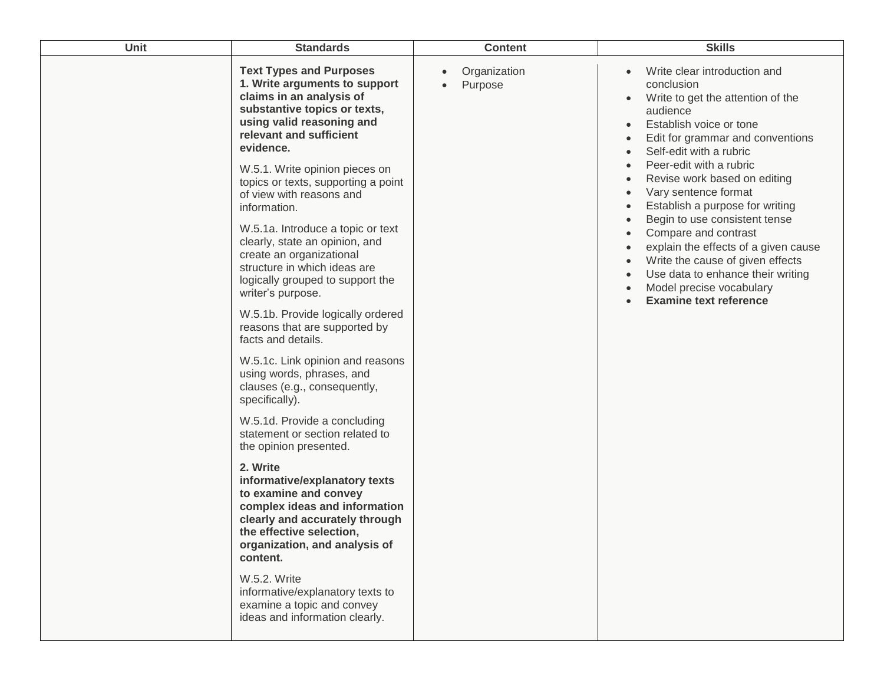| Unit | <b>Standards</b>                                                                                                                                                                                                                                                                                                                                                                                                                                                                                                                                                                                                                                                                                                                                                                                                                                                                                                                                                                                                                                                                                                                                                           | <b>Content</b>          | <b>Skills</b>                                                                                                                                                                                                                                                                                                                                                                                                                                                                                                                                                                                                                                                                                                  |
|------|----------------------------------------------------------------------------------------------------------------------------------------------------------------------------------------------------------------------------------------------------------------------------------------------------------------------------------------------------------------------------------------------------------------------------------------------------------------------------------------------------------------------------------------------------------------------------------------------------------------------------------------------------------------------------------------------------------------------------------------------------------------------------------------------------------------------------------------------------------------------------------------------------------------------------------------------------------------------------------------------------------------------------------------------------------------------------------------------------------------------------------------------------------------------------|-------------------------|----------------------------------------------------------------------------------------------------------------------------------------------------------------------------------------------------------------------------------------------------------------------------------------------------------------------------------------------------------------------------------------------------------------------------------------------------------------------------------------------------------------------------------------------------------------------------------------------------------------------------------------------------------------------------------------------------------------|
|      | <b>Text Types and Purposes</b><br>1. Write arguments to support<br>claims in an analysis of<br>substantive topics or texts,<br>using valid reasoning and<br>relevant and sufficient<br>evidence.<br>W.5.1. Write opinion pieces on<br>topics or texts, supporting a point<br>of view with reasons and<br>information.<br>W.5.1a. Introduce a topic or text<br>clearly, state an opinion, and<br>create an organizational<br>structure in which ideas are<br>logically grouped to support the<br>writer's purpose.<br>W.5.1b. Provide logically ordered<br>reasons that are supported by<br>facts and details.<br>W.5.1c. Link opinion and reasons<br>using words, phrases, and<br>clauses (e.g., consequently,<br>specifically).<br>W.5.1d. Provide a concluding<br>statement or section related to<br>the opinion presented.<br>2. Write<br>informative/explanatory texts<br>to examine and convey<br>complex ideas and information<br>clearly and accurately through<br>the effective selection,<br>organization, and analysis of<br>content.<br><b>W.5.2. Write</b><br>informative/explanatory texts to<br>examine a topic and convey<br>ideas and information clearly. | Organization<br>Purpose | Write clear introduction and<br>conclusion<br>Write to get the attention of the<br>$\bullet$<br>audience<br>Establish voice or tone<br>$\bullet$<br>Edit for grammar and conventions<br>Self-edit with a rubric<br>$\bullet$<br>Peer-edit with a rubric<br>$\bullet$<br>Revise work based on editing<br>Vary sentence format<br>$\bullet$<br>Establish a purpose for writing<br>$\bullet$<br>Begin to use consistent tense<br>$\bullet$<br>Compare and contrast<br>$\bullet$<br>explain the effects of a given cause<br>$\bullet$<br>Write the cause of given effects<br>$\bullet$<br>Use data to enhance their writing<br>$\bullet$<br>Model precise vocabulary<br><b>Examine text reference</b><br>$\bullet$ |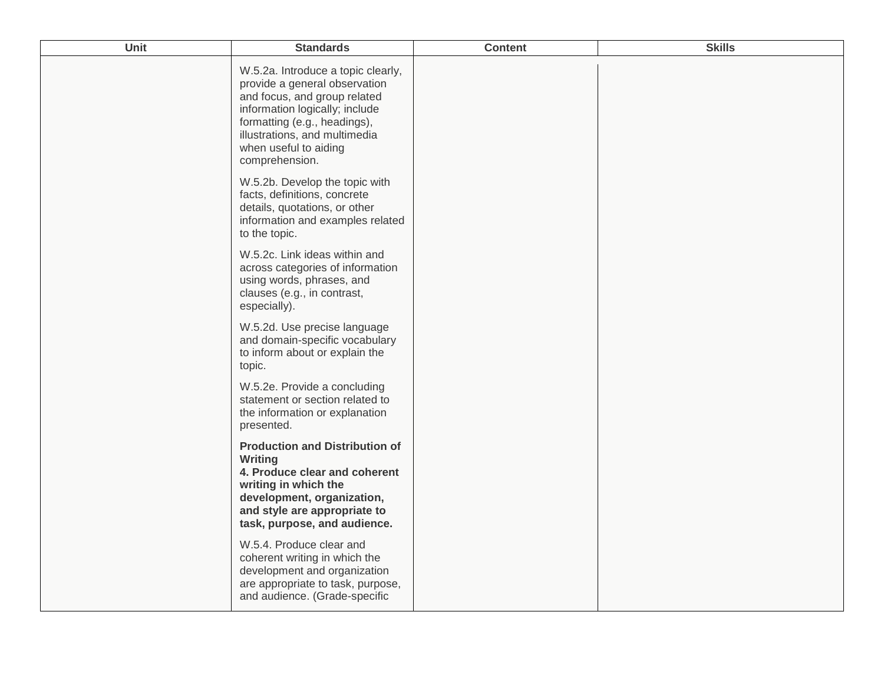| Unit | <b>Standards</b>                                                                                                                                                                                                                                  | <b>Content</b> | <b>Skills</b> |
|------|---------------------------------------------------------------------------------------------------------------------------------------------------------------------------------------------------------------------------------------------------|----------------|---------------|
|      | W.5.2a. Introduce a topic clearly,<br>provide a general observation<br>and focus, and group related<br>information logically; include<br>formatting (e.g., headings),<br>illustrations, and multimedia<br>when useful to aiding<br>comprehension. |                |               |
|      | W.5.2b. Develop the topic with<br>facts, definitions, concrete<br>details, quotations, or other<br>information and examples related<br>to the topic.                                                                                              |                |               |
|      | W.5.2c. Link ideas within and<br>across categories of information<br>using words, phrases, and<br>clauses (e.g., in contrast,<br>especially).                                                                                                     |                |               |
|      | W.5.2d. Use precise language<br>and domain-specific vocabulary<br>to inform about or explain the<br>topic.                                                                                                                                        |                |               |
|      | W.5.2e. Provide a concluding<br>statement or section related to<br>the information or explanation<br>presented.                                                                                                                                   |                |               |
|      | <b>Production and Distribution of</b><br>Writing<br>4. Produce clear and coherent<br>writing in which the<br>development, organization,<br>and style are appropriate to<br>task, purpose, and audience.                                           |                |               |
|      | W.5.4. Produce clear and<br>coherent writing in which the<br>development and organization<br>are appropriate to task, purpose,<br>and audience. (Grade-specific                                                                                   |                |               |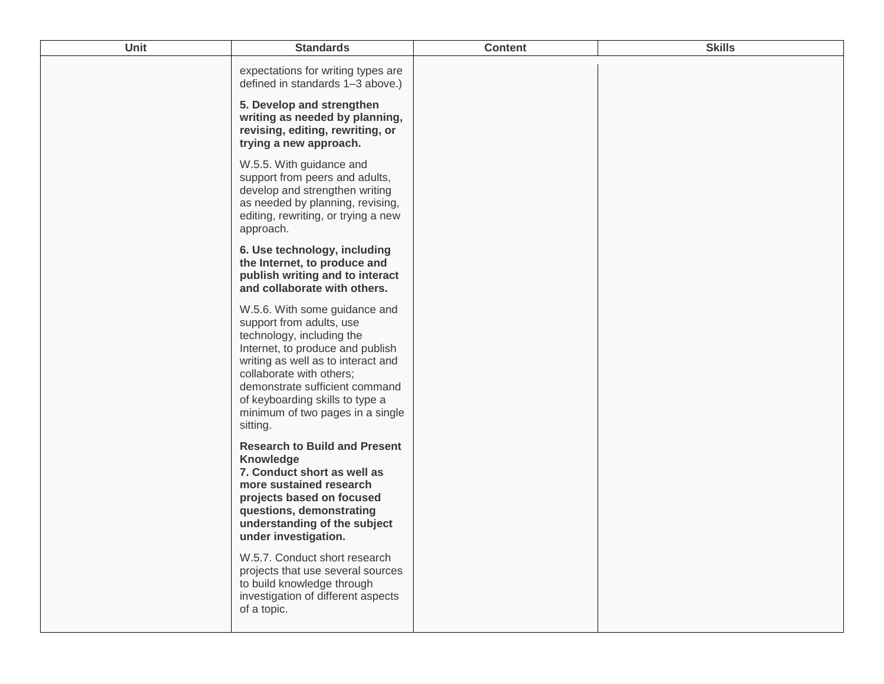| Unit | <b>Standards</b>                                                                                                                                                                                                                                                                                                  | <b>Content</b> | <b>Skills</b> |
|------|-------------------------------------------------------------------------------------------------------------------------------------------------------------------------------------------------------------------------------------------------------------------------------------------------------------------|----------------|---------------|
|      | expectations for writing types are<br>defined in standards 1-3 above.)<br>5. Develop and strengthen<br>writing as needed by planning,<br>revising, editing, rewriting, or<br>trying a new approach.                                                                                                               |                |               |
|      | W.5.5. With guidance and<br>support from peers and adults,<br>develop and strengthen writing<br>as needed by planning, revising,<br>editing, rewriting, or trying a new<br>approach.                                                                                                                              |                |               |
|      | 6. Use technology, including<br>the Internet, to produce and<br>publish writing and to interact<br>and collaborate with others.                                                                                                                                                                                   |                |               |
|      | W.5.6. With some guidance and<br>support from adults, use<br>technology, including the<br>Internet, to produce and publish<br>writing as well as to interact and<br>collaborate with others;<br>demonstrate sufficient command<br>of keyboarding skills to type a<br>minimum of two pages in a single<br>sitting. |                |               |
|      | <b>Research to Build and Present</b><br><b>Knowledge</b><br>7. Conduct short as well as<br>more sustained research<br>projects based on focused<br>questions, demonstrating<br>understanding of the subject<br>under investigation.                                                                               |                |               |
|      | W.5.7. Conduct short research<br>projects that use several sources<br>to build knowledge through<br>investigation of different aspects<br>of a topic.                                                                                                                                                             |                |               |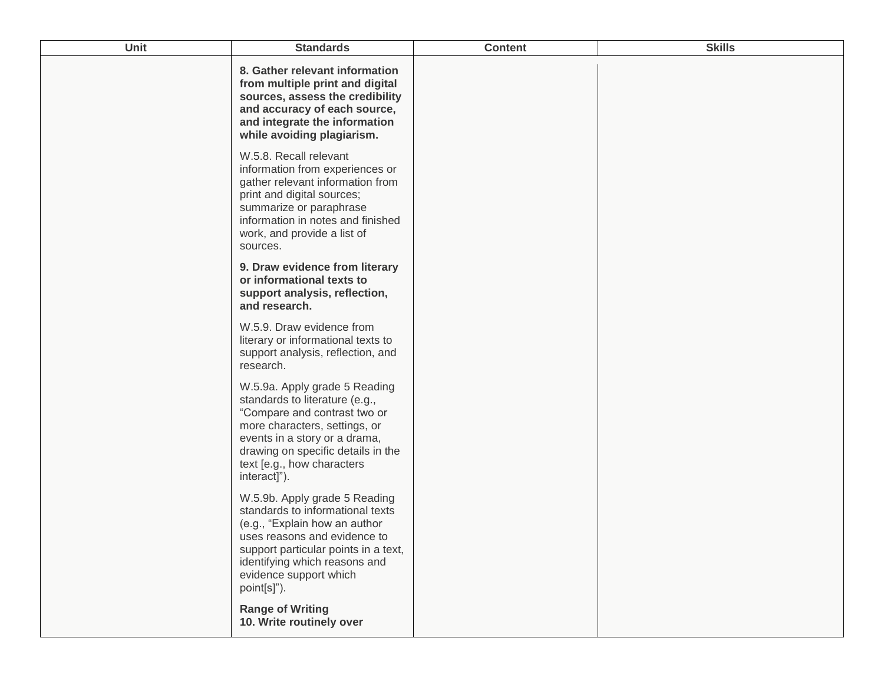| <b>Unit</b> | <b>Standards</b>                                                                                                                                                                                                                                      | <b>Content</b> | <b>Skills</b> |
|-------------|-------------------------------------------------------------------------------------------------------------------------------------------------------------------------------------------------------------------------------------------------------|----------------|---------------|
|             | 8. Gather relevant information<br>from multiple print and digital<br>sources, assess the credibility<br>and accuracy of each source,<br>and integrate the information<br>while avoiding plagiarism.                                                   |                |               |
|             | W.5.8. Recall relevant<br>information from experiences or<br>gather relevant information from<br>print and digital sources;<br>summarize or paraphrase<br>information in notes and finished<br>work, and provide a list of<br>sources.                |                |               |
|             | 9. Draw evidence from literary<br>or informational texts to<br>support analysis, reflection,<br>and research.                                                                                                                                         |                |               |
|             | W.5.9. Draw evidence from<br>literary or informational texts to<br>support analysis, reflection, and<br>research.                                                                                                                                     |                |               |
|             | W.5.9a. Apply grade 5 Reading<br>standards to literature (e.g.,<br>"Compare and contrast two or<br>more characters, settings, or<br>events in a story or a drama,<br>drawing on specific details in the<br>text [e.g., how characters<br>interact]"). |                |               |
|             | W.5.9b. Apply grade 5 Reading<br>standards to informational texts<br>(e.g., "Explain how an author<br>uses reasons and evidence to<br>support particular points in a text,<br>identifying which reasons and<br>evidence support which<br>point[s]").  |                |               |
|             | <b>Range of Writing</b><br>10. Write routinely over                                                                                                                                                                                                   |                |               |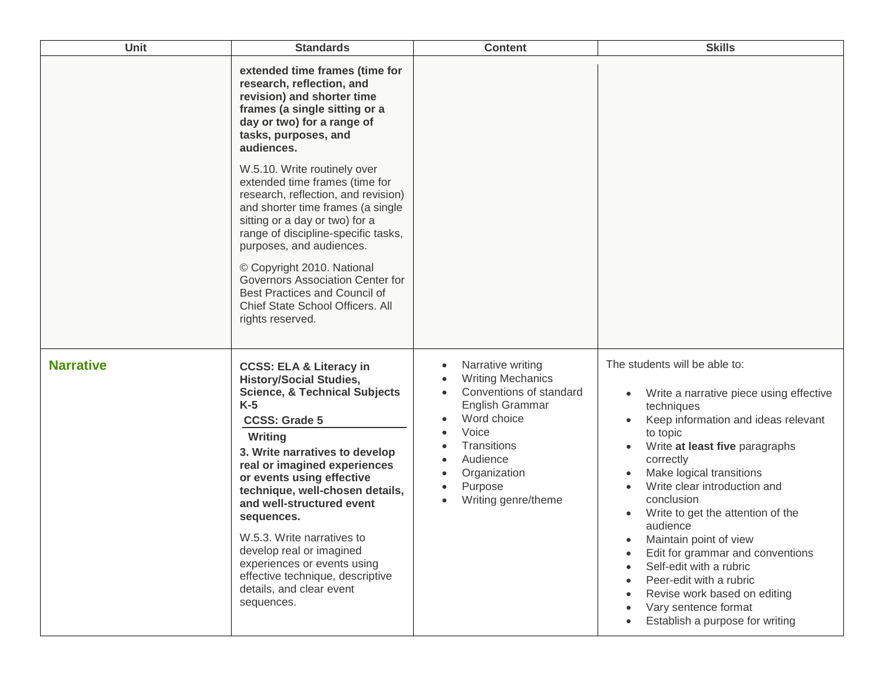| <b>Unit</b>      | <b>Standards</b>                                                                                                                                                                                                                                                                                                                                                                                                                                                                                                 | <b>Content</b>                                                                                                                                                                                   | <b>Skills</b>                                                                                                                                                                                                                                                                                                                                                                                                                                                                                                                                   |
|------------------|------------------------------------------------------------------------------------------------------------------------------------------------------------------------------------------------------------------------------------------------------------------------------------------------------------------------------------------------------------------------------------------------------------------------------------------------------------------------------------------------------------------|--------------------------------------------------------------------------------------------------------------------------------------------------------------------------------------------------|-------------------------------------------------------------------------------------------------------------------------------------------------------------------------------------------------------------------------------------------------------------------------------------------------------------------------------------------------------------------------------------------------------------------------------------------------------------------------------------------------------------------------------------------------|
|                  | extended time frames (time for<br>research, reflection, and<br>revision) and shorter time<br>frames (a single sitting or a<br>day or two) for a range of<br>tasks, purposes, and<br>audiences.                                                                                                                                                                                                                                                                                                                   |                                                                                                                                                                                                  |                                                                                                                                                                                                                                                                                                                                                                                                                                                                                                                                                 |
|                  | W.5.10. Write routinely over<br>extended time frames (time for<br>research, reflection, and revision)<br>and shorter time frames (a single<br>sitting or a day or two) for a<br>range of discipline-specific tasks,<br>purposes, and audiences.                                                                                                                                                                                                                                                                  |                                                                                                                                                                                                  |                                                                                                                                                                                                                                                                                                                                                                                                                                                                                                                                                 |
|                  | © Copyright 2010. National<br>Governors Association Center for<br>Best Practices and Council of<br>Chief State School Officers. All<br>rights reserved.                                                                                                                                                                                                                                                                                                                                                          |                                                                                                                                                                                                  |                                                                                                                                                                                                                                                                                                                                                                                                                                                                                                                                                 |
| <b>Narrative</b> | <b>CCSS: ELA &amp; Literacy in</b><br><b>History/Social Studies,</b><br><b>Science, &amp; Technical Subjects</b><br>$K-5$<br><b>CCSS: Grade 5</b><br>Writing<br>3. Write narratives to develop<br>real or imagined experiences<br>or events using effective<br>technique, well-chosen details,<br>and well-structured event<br>sequences.<br>W.5.3. Write narratives to<br>develop real or imagined<br>experiences or events using<br>effective technique, descriptive<br>details, and clear event<br>sequences. | Narrative writing<br><b>Writing Mechanics</b><br>Conventions of standard<br>English Grammar<br>Word choice<br>Voice<br>Transitions<br>Audience<br>Organization<br>Purpose<br>Writing genre/theme | The students will be able to:<br>Write a narrative piece using effective<br>techniques<br>Keep information and ideas relevant<br>$\bullet$<br>to topic<br>Write at least five paragraphs<br>correctly<br>Make logical transitions<br>Write clear introduction and<br>conclusion<br>Write to get the attention of the<br>audience<br>Maintain point of view<br>Edit for grammar and conventions<br>Self-edit with a rubric<br>Peer-edit with a rubric<br>Revise work based on editing<br>Vary sentence format<br>Establish a purpose for writing |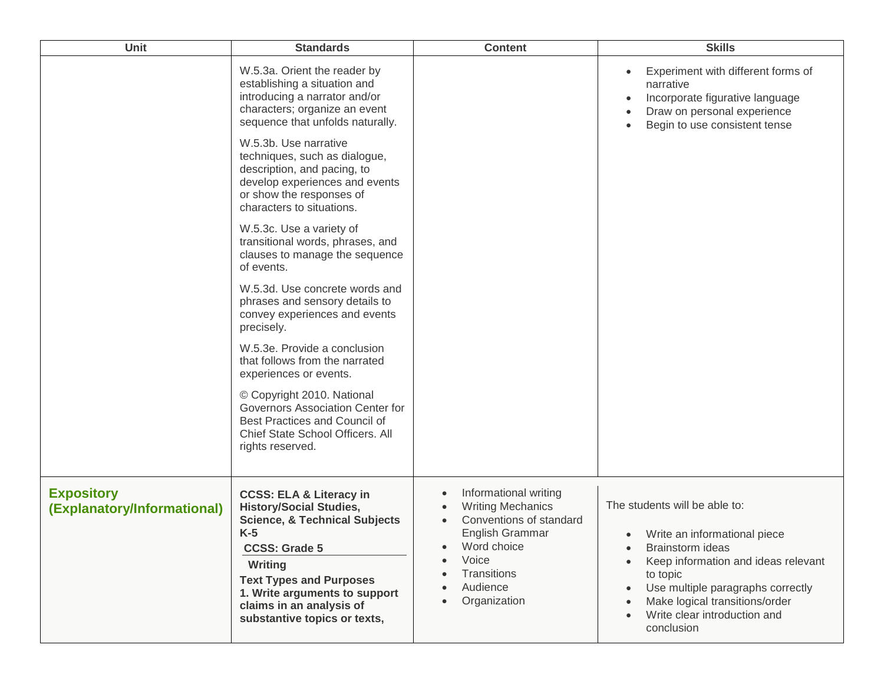| Unit                                             | <b>Standards</b>                                                                                                                                                                                                                                                                            | <b>Content</b>                                                                                                                                                     | <b>Skills</b>                                                                                                                                                                                                                                                          |
|--------------------------------------------------|---------------------------------------------------------------------------------------------------------------------------------------------------------------------------------------------------------------------------------------------------------------------------------------------|--------------------------------------------------------------------------------------------------------------------------------------------------------------------|------------------------------------------------------------------------------------------------------------------------------------------------------------------------------------------------------------------------------------------------------------------------|
|                                                  | W.5.3a. Orient the reader by<br>establishing a situation and<br>introducing a narrator and/or<br>characters; organize an event<br>sequence that unfolds naturally.                                                                                                                          |                                                                                                                                                                    | Experiment with different forms of<br>narrative<br>Incorporate figurative language<br>Draw on personal experience<br>Begin to use consistent tense                                                                                                                     |
|                                                  | W.5.3b. Use narrative<br>techniques, such as dialogue,<br>description, and pacing, to<br>develop experiences and events<br>or show the responses of<br>characters to situations.                                                                                                            |                                                                                                                                                                    |                                                                                                                                                                                                                                                                        |
|                                                  | W.5.3c. Use a variety of<br>transitional words, phrases, and<br>clauses to manage the sequence<br>of events.                                                                                                                                                                                |                                                                                                                                                                    |                                                                                                                                                                                                                                                                        |
|                                                  | W.5.3d. Use concrete words and<br>phrases and sensory details to<br>convey experiences and events<br>precisely.                                                                                                                                                                             |                                                                                                                                                                    |                                                                                                                                                                                                                                                                        |
|                                                  | W.5.3e. Provide a conclusion<br>that follows from the narrated<br>experiences or events.                                                                                                                                                                                                    |                                                                                                                                                                    |                                                                                                                                                                                                                                                                        |
|                                                  | © Copyright 2010. National<br>Governors Association Center for<br>Best Practices and Council of<br>Chief State School Officers. All<br>rights reserved.                                                                                                                                     |                                                                                                                                                                    |                                                                                                                                                                                                                                                                        |
| <b>Expository</b><br>(Explanatory/Informational) | <b>CCSS: ELA &amp; Literacy in</b><br><b>History/Social Studies,</b><br><b>Science, &amp; Technical Subjects</b><br>$K-5$<br><b>CCSS: Grade 5</b><br>Writing<br><b>Text Types and Purposes</b><br>1. Write arguments to support<br>claims in an analysis of<br>substantive topics or texts, | Informational writing<br><b>Writing Mechanics</b><br>Conventions of standard<br>English Grammar<br>Word choice<br>Voice<br>Transitions<br>Audience<br>Organization | The students will be able to:<br>Write an informational piece<br>$\bullet$<br>Brainstorm ideas<br>Keep information and ideas relevant<br>to topic<br>Use multiple paragraphs correctly<br>Make logical transitions/order<br>Write clear introduction and<br>conclusion |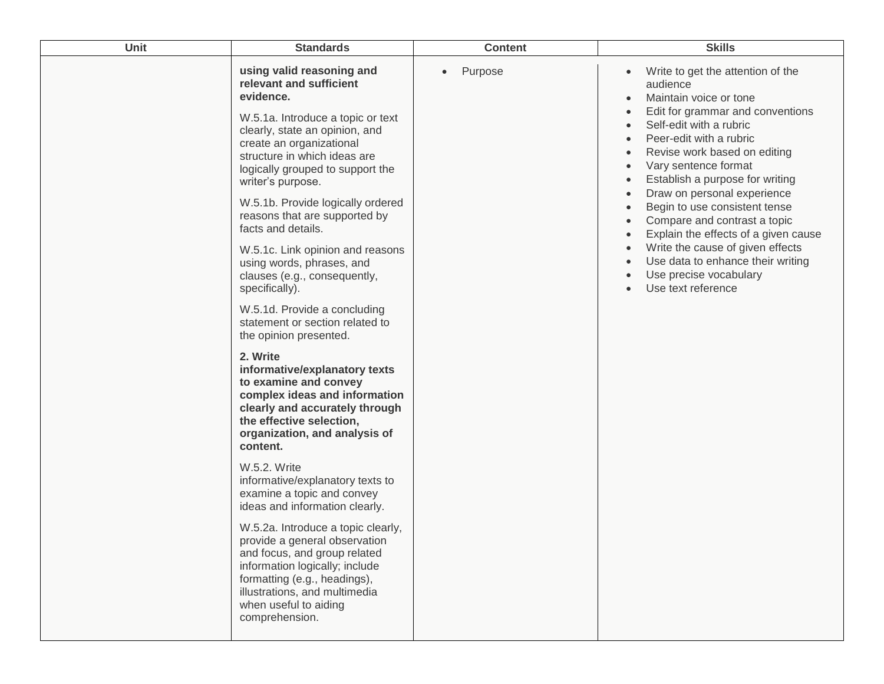| using valid reasoning and<br>Write to get the attention of the<br>Purpose<br>relevant and sufficient<br>audience<br>evidence.<br>Maintain voice or tone<br>Edit for grammar and conventions<br>W.5.1a. Introduce a topic or text<br>Self-edit with a rubric<br>$\bullet$<br>clearly, state an opinion, and<br>Peer-edit with a rubric<br>create an organizational<br>Revise work based on editing<br>structure in which ideas are<br>Vary sentence format<br>logically grouped to support the<br>Establish a purpose for writing<br>writer's purpose.<br>Draw on personal experience<br>W.5.1b. Provide logically ordered<br>Begin to use consistent tense<br>reasons that are supported by<br>Compare and contrast a topic<br>facts and details.<br>Explain the effects of a given cause<br>Write the cause of given effects<br>W.5.1c. Link opinion and reasons<br>Use data to enhance their writing<br>using words, phrases, and<br>Use precise vocabulary<br>clauses (e.g., consequently,<br>Use text reference<br>specifically).<br>W.5.1d. Provide a concluding<br>statement or section related to<br>the opinion presented.<br>2. Write<br>informative/explanatory texts<br>to examine and convey<br>complex ideas and information<br>clearly and accurately through<br>the effective selection,<br>organization, and analysis of<br>content.<br><b>W.5.2. Write</b><br>informative/explanatory texts to<br>examine a topic and convey<br>ideas and information clearly.<br>W.5.2a. Introduce a topic clearly,<br>provide a general observation<br>and focus, and group related<br>information logically; include<br>formatting (e.g., headings),<br>illustrations, and multimedia<br>when useful to aiding<br>comprehension. | Unit | <b>Standards</b> | <b>Content</b> | <b>Skills</b> |
|--------------------------------------------------------------------------------------------------------------------------------------------------------------------------------------------------------------------------------------------------------------------------------------------------------------------------------------------------------------------------------------------------------------------------------------------------------------------------------------------------------------------------------------------------------------------------------------------------------------------------------------------------------------------------------------------------------------------------------------------------------------------------------------------------------------------------------------------------------------------------------------------------------------------------------------------------------------------------------------------------------------------------------------------------------------------------------------------------------------------------------------------------------------------------------------------------------------------------------------------------------------------------------------------------------------------------------------------------------------------------------------------------------------------------------------------------------------------------------------------------------------------------------------------------------------------------------------------------------------------------------------------------------------------------------------------------------------------------------------|------|------------------|----------------|---------------|
|                                                                                                                                                                                                                                                                                                                                                                                                                                                                                                                                                                                                                                                                                                                                                                                                                                                                                                                                                                                                                                                                                                                                                                                                                                                                                                                                                                                                                                                                                                                                                                                                                                                                                                                                      |      |                  |                |               |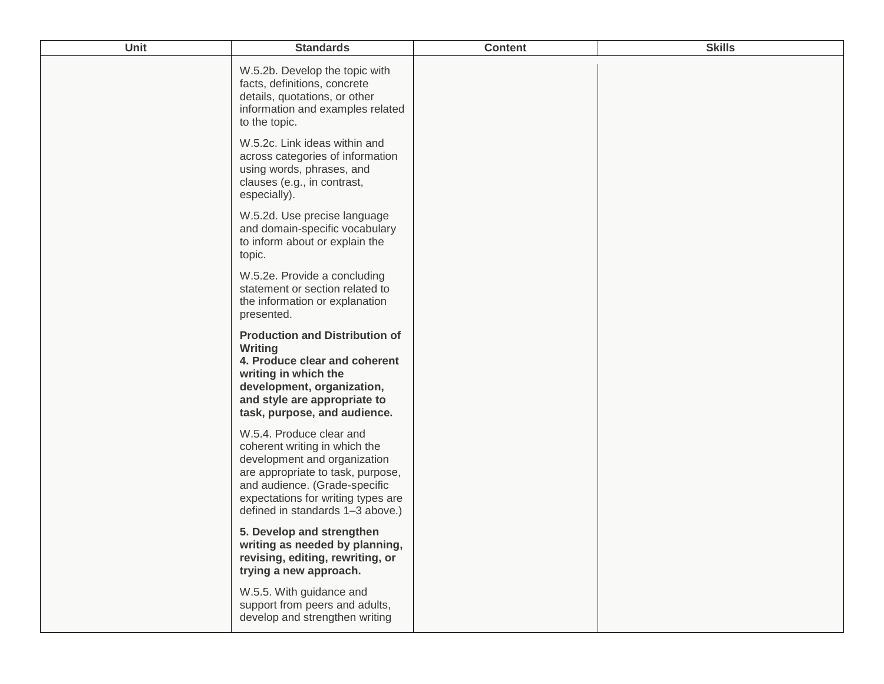| Unit | <b>Standards</b>                                                                                                                                                                                                                          | <b>Content</b> | <b>Skills</b> |
|------|-------------------------------------------------------------------------------------------------------------------------------------------------------------------------------------------------------------------------------------------|----------------|---------------|
|      | W.5.2b. Develop the topic with<br>facts, definitions, concrete<br>details, quotations, or other<br>information and examples related<br>to the topic.                                                                                      |                |               |
|      | W.5.2c. Link ideas within and<br>across categories of information<br>using words, phrases, and<br>clauses (e.g., in contrast,<br>especially).                                                                                             |                |               |
|      | W.5.2d. Use precise language<br>and domain-specific vocabulary<br>to inform about or explain the<br>topic.                                                                                                                                |                |               |
|      | W.5.2e. Provide a concluding<br>statement or section related to<br>the information or explanation<br>presented.                                                                                                                           |                |               |
|      | <b>Production and Distribution of</b><br>Writing<br>4. Produce clear and coherent<br>writing in which the<br>development, organization,<br>and style are appropriate to<br>task, purpose, and audience.                                   |                |               |
|      | W.5.4. Produce clear and<br>coherent writing in which the<br>development and organization<br>are appropriate to task, purpose,<br>and audience. (Grade-specific<br>expectations for writing types are<br>defined in standards 1-3 above.) |                |               |
|      | 5. Develop and strengthen<br>writing as needed by planning,<br>revising, editing, rewriting, or<br>trying a new approach.                                                                                                                 |                |               |
|      | W.5.5. With guidance and<br>support from peers and adults,<br>develop and strengthen writing                                                                                                                                              |                |               |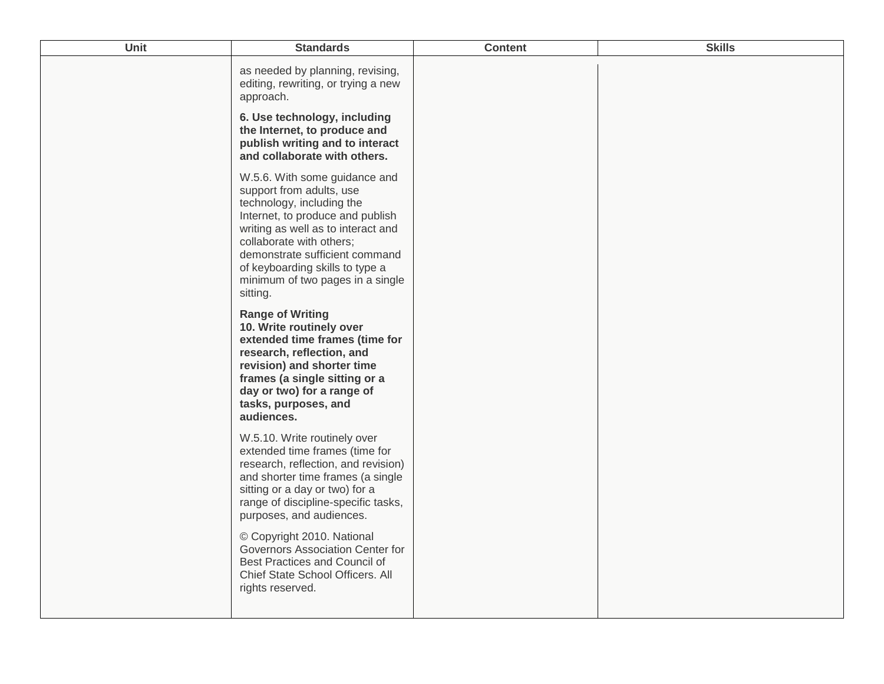| Unit | <b>Standards</b>                                                                                                                                                                                                                                                                                                  | <b>Content</b> | <b>Skills</b> |
|------|-------------------------------------------------------------------------------------------------------------------------------------------------------------------------------------------------------------------------------------------------------------------------------------------------------------------|----------------|---------------|
|      | as needed by planning, revising,<br>editing, rewriting, or trying a new<br>approach.                                                                                                                                                                                                                              |                |               |
|      | 6. Use technology, including<br>the Internet, to produce and<br>publish writing and to interact<br>and collaborate with others.                                                                                                                                                                                   |                |               |
|      | W.5.6. With some guidance and<br>support from adults, use<br>technology, including the<br>Internet, to produce and publish<br>writing as well as to interact and<br>collaborate with others;<br>demonstrate sufficient command<br>of keyboarding skills to type a<br>minimum of two pages in a single<br>sitting. |                |               |
|      | <b>Range of Writing</b><br>10. Write routinely over<br>extended time frames (time for<br>research, reflection, and<br>revision) and shorter time<br>frames (a single sitting or a<br>day or two) for a range of<br>tasks, purposes, and<br>audiences.                                                             |                |               |
|      | W.5.10. Write routinely over<br>extended time frames (time for<br>research, reflection, and revision)<br>and shorter time frames (a single<br>sitting or a day or two) for a<br>range of discipline-specific tasks,<br>purposes, and audiences.                                                                   |                |               |
|      | © Copyright 2010. National<br>Governors Association Center for<br>Best Practices and Council of<br>Chief State School Officers. All<br>rights reserved.                                                                                                                                                           |                |               |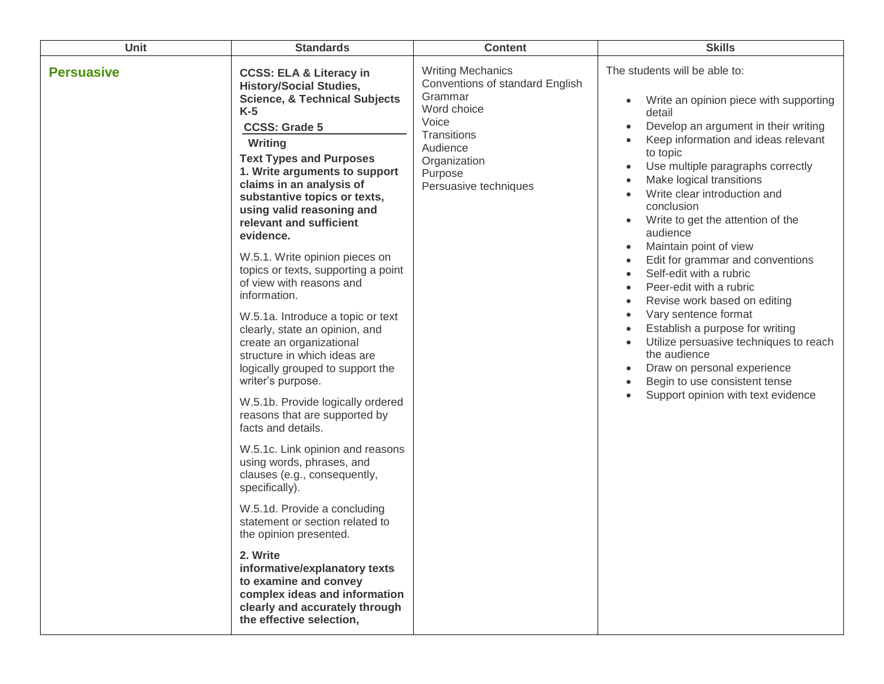| <b>Unit</b>       | <b>Standards</b>                                                                                                                                                                                                                                                                                                                                                 | <b>Content</b>                                                                                                                                                                                                                                                                                                                                                                                                             | <b>Skills</b>                                                                                                                                                                                  |
|-------------------|------------------------------------------------------------------------------------------------------------------------------------------------------------------------------------------------------------------------------------------------------------------------------------------------------------------------------------------------------------------|----------------------------------------------------------------------------------------------------------------------------------------------------------------------------------------------------------------------------------------------------------------------------------------------------------------------------------------------------------------------------------------------------------------------------|------------------------------------------------------------------------------------------------------------------------------------------------------------------------------------------------|
| <b>Persuasive</b> | <b>CCSS: ELA &amp; Literacy in</b><br><b>History/Social Studies,</b><br><b>Science, &amp; Technical Subjects</b><br>$K-5$<br><b>CCSS: Grade 5</b><br>Writing<br><b>Text Types and Purposes</b><br>1. Write arguments to support<br>claims in an analysis of<br>substantive topics or texts,<br>using valid reasoning and<br>relevant and sufficient<br>evidence. | The students will be able to:<br><b>Writing Mechanics</b><br>Conventions of standard English<br>Grammar<br>$\bullet$<br>Word choice<br>detail<br>Voice<br>$\bullet$<br><b>Transitions</b><br>Audience<br>to topic<br>Organization<br>$\bullet$<br>Purpose<br>Make logical transitions<br>Persuasive techniques<br>Write clear introduction and<br>conclusion<br>Write to get the attention of the<br>$\bullet$<br>audience | Write an opinion piece with supporting<br>Develop an argument in their writing<br>Keep information and ideas relevant<br>Use multiple paragraphs correctly                                     |
|                   | W.5.1. Write opinion pieces on<br>topics or texts, supporting a point<br>of view with reasons and<br>information.                                                                                                                                                                                                                                                |                                                                                                                                                                                                                                                                                                                                                                                                                            | Maintain point of view<br>$\bullet$<br>Edit for grammar and conventions<br>Self-edit with a rubric<br>Peer-edit with a rubric<br>Revise work based on editing<br>$\bullet$                     |
|                   | W.5.1a. Introduce a topic or text<br>clearly, state an opinion, and<br>create an organizational<br>structure in which ideas are<br>logically grouped to support the<br>writer's purpose.                                                                                                                                                                         | $\bullet$<br>$\bullet$<br>$\bullet$                                                                                                                                                                                                                                                                                                                                                                                        | Vary sentence format<br>Establish a purpose for writing<br>Utilize persuasive techniques to reach<br>the audience<br>Draw on personal experience<br>$\bullet$<br>Begin to use consistent tense |
|                   | W.5.1b. Provide logically ordered<br>reasons that are supported by<br>facts and details.                                                                                                                                                                                                                                                                         |                                                                                                                                                                                                                                                                                                                                                                                                                            | Support opinion with text evidence                                                                                                                                                             |
|                   | W.5.1c. Link opinion and reasons<br>using words, phrases, and<br>clauses (e.g., consequently,<br>specifically).                                                                                                                                                                                                                                                  |                                                                                                                                                                                                                                                                                                                                                                                                                            |                                                                                                                                                                                                |
|                   | W.5.1d. Provide a concluding<br>statement or section related to<br>the opinion presented.                                                                                                                                                                                                                                                                        |                                                                                                                                                                                                                                                                                                                                                                                                                            |                                                                                                                                                                                                |
|                   | 2. Write<br>informative/explanatory texts<br>to examine and convey<br>complex ideas and information<br>clearly and accurately through<br>the effective selection,                                                                                                                                                                                                |                                                                                                                                                                                                                                                                                                                                                                                                                            |                                                                                                                                                                                                |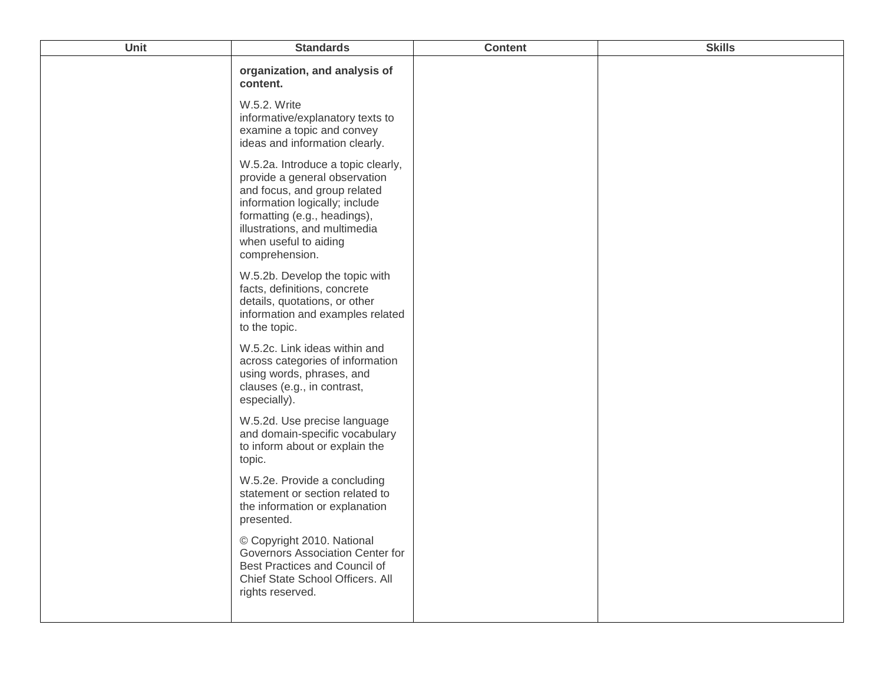| Unit | <b>Standards</b>                                                                                                                                                                                                                                  | <b>Content</b> | <b>Skills</b> |
|------|---------------------------------------------------------------------------------------------------------------------------------------------------------------------------------------------------------------------------------------------------|----------------|---------------|
|      | organization, and analysis of<br>content.                                                                                                                                                                                                         |                |               |
|      | W.5.2. Write<br>informative/explanatory texts to<br>examine a topic and convey<br>ideas and information clearly.                                                                                                                                  |                |               |
|      | W.5.2a. Introduce a topic clearly,<br>provide a general observation<br>and focus, and group related<br>information logically; include<br>formatting (e.g., headings),<br>illustrations, and multimedia<br>when useful to aiding<br>comprehension. |                |               |
|      | W.5.2b. Develop the topic with<br>facts, definitions, concrete<br>details, quotations, or other<br>information and examples related<br>to the topic.                                                                                              |                |               |
|      | W.5.2c. Link ideas within and<br>across categories of information<br>using words, phrases, and<br>clauses (e.g., in contrast,<br>especially).                                                                                                     |                |               |
|      | W.5.2d. Use precise language<br>and domain-specific vocabulary<br>to inform about or explain the<br>topic.                                                                                                                                        |                |               |
|      | W.5.2e. Provide a concluding<br>statement or section related to<br>the information or explanation<br>presented.                                                                                                                                   |                |               |
|      | © Copyright 2010. National<br>Governors Association Center for<br>Best Practices and Council of<br>Chief State School Officers. All<br>rights reserved.                                                                                           |                |               |
|      |                                                                                                                                                                                                                                                   |                |               |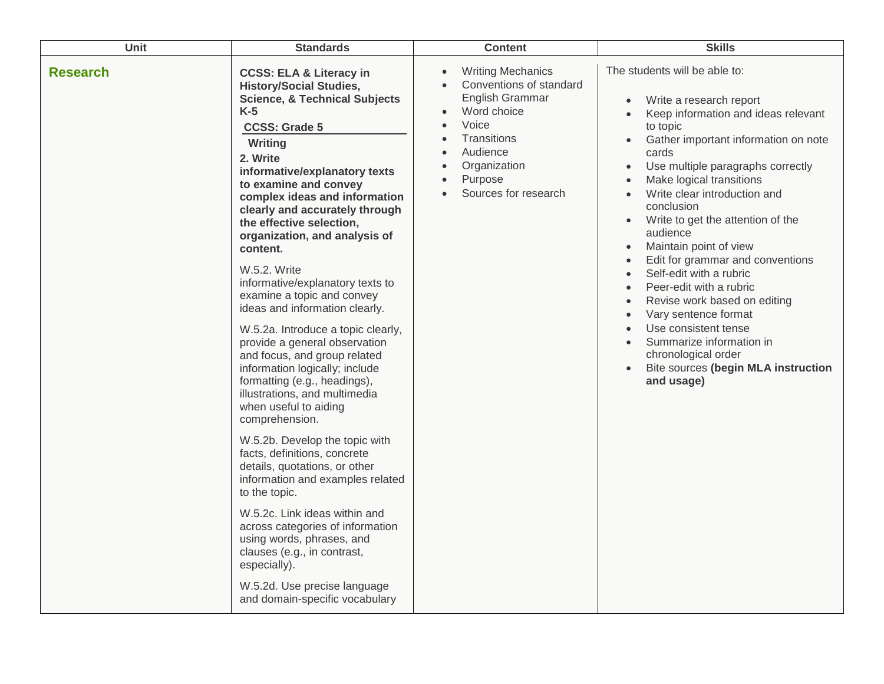| Unit            | <b>Standards</b>                                                                                                                                                                                                                                                                                                                                                                                                                                                                                                                                                                                                                                                                                                                                                                                                                                                                                                                                                                                                                                                                                                                   | <b>Content</b>                                                                                                                                                                      | <b>Skills</b>                                                                                                                                                                                                                                                                                                                                                                                                                                                                                                                                                                                                                                                                                                                       |
|-----------------|------------------------------------------------------------------------------------------------------------------------------------------------------------------------------------------------------------------------------------------------------------------------------------------------------------------------------------------------------------------------------------------------------------------------------------------------------------------------------------------------------------------------------------------------------------------------------------------------------------------------------------------------------------------------------------------------------------------------------------------------------------------------------------------------------------------------------------------------------------------------------------------------------------------------------------------------------------------------------------------------------------------------------------------------------------------------------------------------------------------------------------|-------------------------------------------------------------------------------------------------------------------------------------------------------------------------------------|-------------------------------------------------------------------------------------------------------------------------------------------------------------------------------------------------------------------------------------------------------------------------------------------------------------------------------------------------------------------------------------------------------------------------------------------------------------------------------------------------------------------------------------------------------------------------------------------------------------------------------------------------------------------------------------------------------------------------------------|
| <b>Research</b> | <b>CCSS: ELA &amp; Literacy in</b><br><b>History/Social Studies,</b><br><b>Science, &amp; Technical Subjects</b><br>$K-5$<br><b>CCSS: Grade 5</b><br>Writing<br>2. Write<br>informative/explanatory texts<br>to examine and convey<br>complex ideas and information<br>clearly and accurately through<br>the effective selection,<br>organization, and analysis of<br>content.<br>W.5.2. Write<br>informative/explanatory texts to<br>examine a topic and convey<br>ideas and information clearly.<br>W.5.2a. Introduce a topic clearly,<br>provide a general observation<br>and focus, and group related<br>information logically; include<br>formatting (e.g., headings),<br>illustrations, and multimedia<br>when useful to aiding<br>comprehension.<br>W.5.2b. Develop the topic with<br>facts, definitions, concrete<br>details, quotations, or other<br>information and examples related<br>to the topic.<br>W.5.2c. Link ideas within and<br>across categories of information<br>using words, phrases, and<br>clauses (e.g., in contrast,<br>especially).<br>W.5.2d. Use precise language<br>and domain-specific vocabulary | <b>Writing Mechanics</b><br>Conventions of standard<br>English Grammar<br>Word choice<br>Voice<br><b>Transitions</b><br>Audience<br>Organization<br>Purpose<br>Sources for research | The students will be able to:<br>Write a research report<br>$\bullet$<br>Keep information and ideas relevant<br>to topic<br>Gather important information on note<br>$\bullet$<br>cards<br>Use multiple paragraphs correctly<br>Make logical transitions<br>Write clear introduction and<br>conclusion<br>Write to get the attention of the<br>$\bullet$<br>audience<br>Maintain point of view<br>$\bullet$<br>Edit for grammar and conventions<br>Self-edit with a rubric<br>$\bullet$<br>Peer-edit with a rubric<br>$\bullet$<br>Revise work based on editing<br>$\bullet$<br>Vary sentence format<br>Use consistent tense<br>Summarize information in<br>chronological order<br>Bite sources (begin MLA instruction<br>and usage) |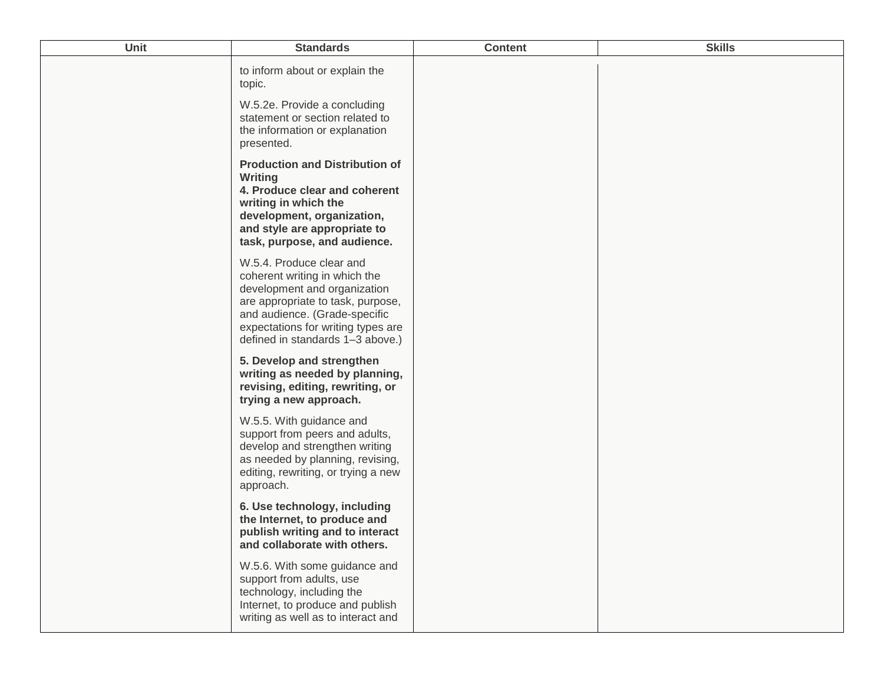| <b>Unit</b> | <b>Standards</b>                                                                                                                                                                                                                          | <b>Content</b> | <b>Skills</b> |
|-------------|-------------------------------------------------------------------------------------------------------------------------------------------------------------------------------------------------------------------------------------------|----------------|---------------|
|             | to inform about or explain the<br>topic.                                                                                                                                                                                                  |                |               |
|             | W.5.2e. Provide a concluding<br>statement or section related to<br>the information or explanation<br>presented.                                                                                                                           |                |               |
|             | <b>Production and Distribution of</b><br>Writing<br>4. Produce clear and coherent<br>writing in which the<br>development, organization,<br>and style are appropriate to<br>task, purpose, and audience.                                   |                |               |
|             | W.5.4. Produce clear and<br>coherent writing in which the<br>development and organization<br>are appropriate to task, purpose,<br>and audience. (Grade-specific<br>expectations for writing types are<br>defined in standards 1-3 above.) |                |               |
|             | 5. Develop and strengthen<br>writing as needed by planning,<br>revising, editing, rewriting, or<br>trying a new approach.                                                                                                                 |                |               |
|             | W.5.5. With guidance and<br>support from peers and adults,<br>develop and strengthen writing<br>as needed by planning, revising,<br>editing, rewriting, or trying a new<br>approach.                                                      |                |               |
|             | 6. Use technology, including<br>the Internet, to produce and<br>publish writing and to interact<br>and collaborate with others.                                                                                                           |                |               |
|             | W.5.6. With some guidance and<br>support from adults, use<br>technology, including the<br>Internet, to produce and publish<br>writing as well as to interact and                                                                          |                |               |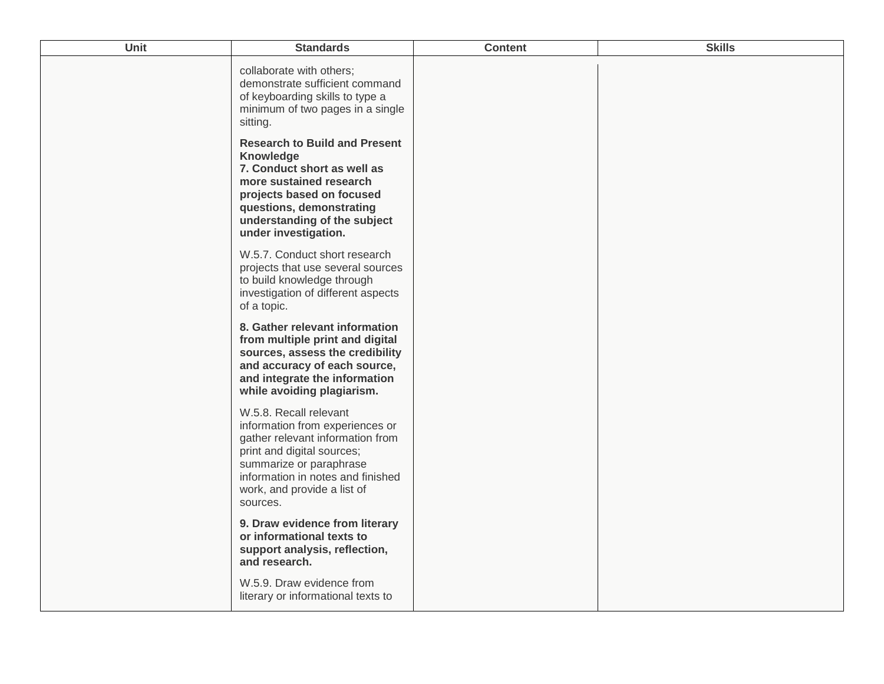| <b>Unit</b> | <b>Standards</b>                                                                                                                                                                                                                       | <b>Content</b> | <b>Skills</b> |
|-------------|----------------------------------------------------------------------------------------------------------------------------------------------------------------------------------------------------------------------------------------|----------------|---------------|
|             | collaborate with others;<br>demonstrate sufficient command<br>of keyboarding skills to type a<br>minimum of two pages in a single<br>sitting.                                                                                          |                |               |
|             | <b>Research to Build and Present</b><br>Knowledge<br>7. Conduct short as well as<br>more sustained research<br>projects based on focused<br>questions, demonstrating<br>understanding of the subject<br>under investigation.           |                |               |
|             | W.5.7. Conduct short research<br>projects that use several sources<br>to build knowledge through<br>investigation of different aspects<br>of a topic.                                                                                  |                |               |
|             | 8. Gather relevant information<br>from multiple print and digital<br>sources, assess the credibility<br>and accuracy of each source,<br>and integrate the information<br>while avoiding plagiarism.                                    |                |               |
|             | W.5.8. Recall relevant<br>information from experiences or<br>gather relevant information from<br>print and digital sources;<br>summarize or paraphrase<br>information in notes and finished<br>work, and provide a list of<br>sources. |                |               |
|             | 9. Draw evidence from literary<br>or informational texts to<br>support analysis, reflection,<br>and research.                                                                                                                          |                |               |
|             | W.5.9. Draw evidence from<br>literary or informational texts to                                                                                                                                                                        |                |               |